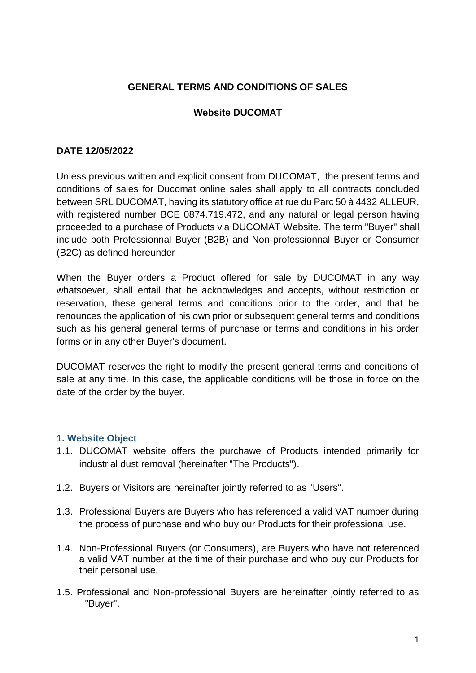# **GENERAL TERMS AND CONDITIONS OF SALES**

# **Website DUCOMAT**

#### **DATE 12/05/2022**

Unless previous written and explicit consent from DUCOMAT, the present terms and conditions of sales for Ducomat online sales shall apply to all contracts concluded between SRL DUCOMAT, having its statutory office at rue du Parc 50 à 4432 ALLEUR, with registered number BCE 0874.719.472, and any natural or legal person having proceeded to a purchase of Products via DUCOMAT Website. The term "Buyer" shall include both Professionnal Buyer (B2B) and Non-professionnal Buyer or Consumer (B2C) as defined hereunder .

When the Buyer orders a Product offered for sale by DUCOMAT in any way whatsoever, shall entail that he acknowledges and accepts, without restriction or reservation, these general terms and conditions prior to the order, and that he renounces the application of his own prior or subsequent general terms and conditions such as his general general terms of purchase or terms and conditions in his order forms or in any other Buyer's document.

DUCOMAT reserves the right to modify the present general terms and conditions of sale at any time. In this case, the applicable conditions will be those in force on the date of the order by the buyer.

#### **1. Website Object**

- 1.1. DUCOMAT website offers the purchawe of Products intended primarily for industrial dust removal (hereinafter "The Products").
- 1.2. Buyers or Visitors are hereinafter jointly referred to as "Users".
- 1.3. Professional Buyers are Buyers who has referenced a valid VAT number during the process of purchase and who buy our Products for their professional use.
- 1.4. Non-Professional Buyers (or Consumers), are Buyers who have not referenced a valid VAT number at the time of their purchase and who buy our Products for their personal use.
- 1.5. Professional and Non-professional Buyers are hereinafter jointly referred to as "Buyer".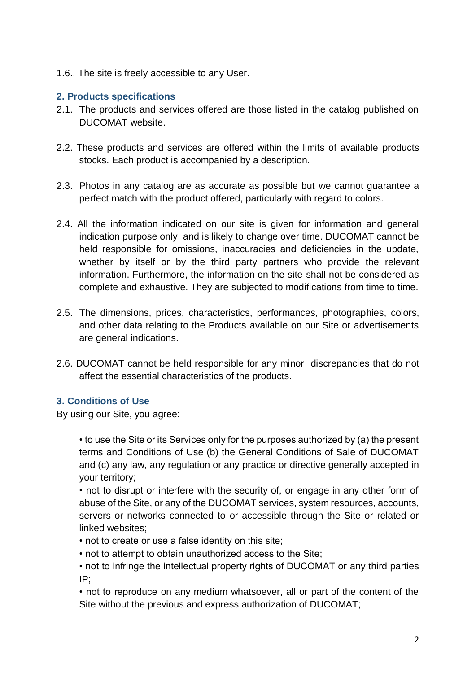1.6.. The site is freely accessible to any User.

# **2. Products specifications**

- 2.1. The products and services offered are those listed in the catalog published on DUCOMAT website.
- 2.2. These products and services are offered within the limits of available products stocks. Each product is accompanied by a description.
- 2.3. Photos in any catalog are as accurate as possible but we cannot guarantee a perfect match with the product offered, particularly with regard to colors.
- 2.4. All the information indicated on our site is given for information and general indication purpose only and is likely to change over time. DUCOMAT cannot be held responsible for omissions, inaccuracies and deficiencies in the update, whether by itself or by the third party partners who provide the relevant information. Furthermore, the information on the site shall not be considered as complete and exhaustive. They are subjected to modifications from time to time.
- 2.5. The dimensions, prices, characteristics, performances, photographies, colors, and other data relating to the Products available on our Site or advertisements are general indications.
- 2.6. DUCOMAT cannot be held responsible for any minor discrepancies that do not affect the essential characteristics of the products.

# **3. Conditions of Use**

By using our Site, you agree:

• to use the Site or its Services only for the purposes authorized by (a) the present terms and Conditions of Use (b) the General Conditions of Sale of DUCOMAT and (c) any law, any regulation or any practice or directive generally accepted in your territory;

• not to disrupt or interfere with the security of, or engage in any other form of abuse of the Site, or any of the DUCOMAT services, system resources, accounts, servers or networks connected to or accessible through the Site or related or linked websites;

- not to create or use a false identity on this site;
- not to attempt to obtain unauthorized access to the Site;

• not to infringe the intellectual property rights of DUCOMAT or any third parties IP;

• not to reproduce on any medium whatsoever, all or part of the content of the Site without the previous and express authorization of DUCOMAT;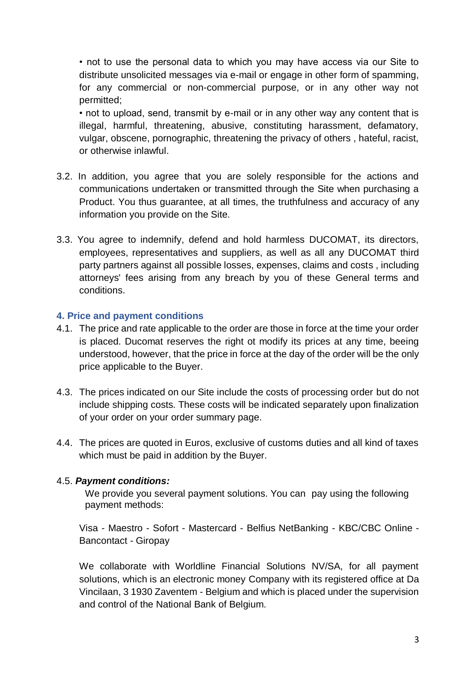• not to use the personal data to which you may have access via our Site to distribute unsolicited messages via e-mail or engage in other form of spamming, for any commercial or non-commercial purpose, or in any other way not permitted;

• not to upload, send, transmit by e-mail or in any other way any content that is illegal, harmful, threatening, abusive, constituting harassment, defamatory, vulgar, obscene, pornographic, threatening the privacy of others , hateful, racist, or otherwise inlawful.

- 3.2. In addition, you agree that you are solely responsible for the actions and communications undertaken or transmitted through the Site when purchasing a Product. You thus guarantee, at all times, the truthfulness and accuracy of any information you provide on the Site.
- 3.3. You agree to indemnify, defend and hold harmless DUCOMAT, its directors, employees, representatives and suppliers, as well as all any DUCOMAT third party partners against all possible losses, expenses, claims and costs , including attorneys' fees arising from any breach by you of these General terms and conditions.

#### **4. Price and payment conditions**

- 4.1. The price and rate applicable to the order are those in force at the time your order is placed. Ducomat reserves the right ot modify its prices at any time, beeing understood, however, that the price in force at the day of the order will be the only price applicable to the Buyer.
- 4.3. The prices indicated on our Site include the costs of processing order but do not include shipping costs. These costs will be indicated separately upon finalization of your order on your order summary page.
- 4.4. The prices are quoted in Euros, exclusive of customs duties and all kind of taxes which must be paid in addition by the Buyer.

# 4.5. *Payment conditions:*

We provide you several payment solutions. You can pay using the following payment methods:

Visa - Maestro - Sofort - Mastercard - Belfius NetBanking - KBC/CBC Online - Bancontact - Giropay

We collaborate with Worldline Financial Solutions NV/SA, for all payment solutions, which is an electronic money Company with its registered office at Da Vincilaan, 3 1930 Zaventem - Belgium and which is placed under the supervision and control of the National Bank of Belgium.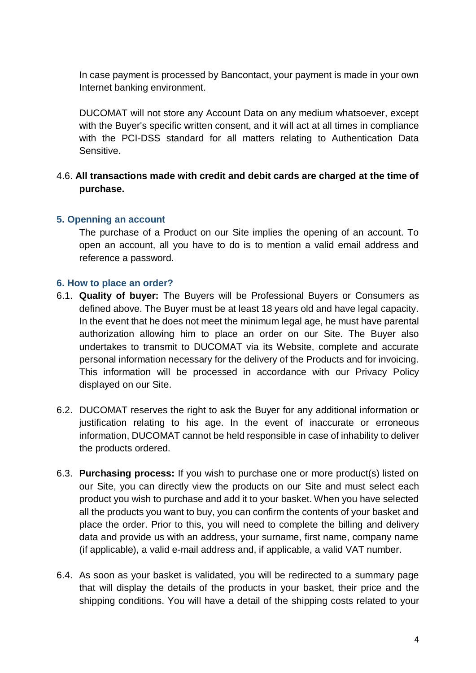In case payment is processed by Bancontact, your payment is made in your own Internet banking environment.

DUCOMAT will not store any Account Data on any medium whatsoever, except with the Buyer's specific written consent, and it will act at all times in compliance with the PCI-DSS standard for all matters relating to Authentication Data Sensitive.

# 4.6. **All transactions made with credit and debit cards are charged at the time of purchase.**

# **5. Openning an account**

The purchase of a Product on our Site implies the opening of an account. To open an account, all you have to do is to mention a valid email address and reference a password.

# **6. How to place an order?**

- 6.1. **Quality of buyer:** The Buyers will be Professional Buyers or Consumers as defined above. The Buyer must be at least 18 years old and have legal capacity. In the event that he does not meet the minimum legal age, he must have parental authorization allowing him to place an order on our Site. The Buyer also undertakes to transmit to DUCOMAT via its Website, complete and accurate personal information necessary for the delivery of the Products and for invoicing. This information will be processed in accordance with our Privacy Policy displayed on our Site.
- 6.2. DUCOMAT reserves the right to ask the Buyer for any additional information or justification relating to his age. In the event of inaccurate or erroneous information, DUCOMAT cannot be held responsible in case of inhability to deliver the products ordered.
- 6.3. **Purchasing process:** If you wish to purchase one or more product(s) listed on our Site, you can directly view the products on our Site and must select each product you wish to purchase and add it to your basket. When you have selected all the products you want to buy, you can confirm the contents of your basket and place the order. Prior to this, you will need to complete the billing and delivery data and provide us with an address, your surname, first name, company name (if applicable), a valid e-mail address and, if applicable, a valid VAT number.
- 6.4. As soon as your basket is validated, you will be redirected to a summary page that will display the details of the products in your basket, their price and the shipping conditions. You will have a detail of the shipping costs related to your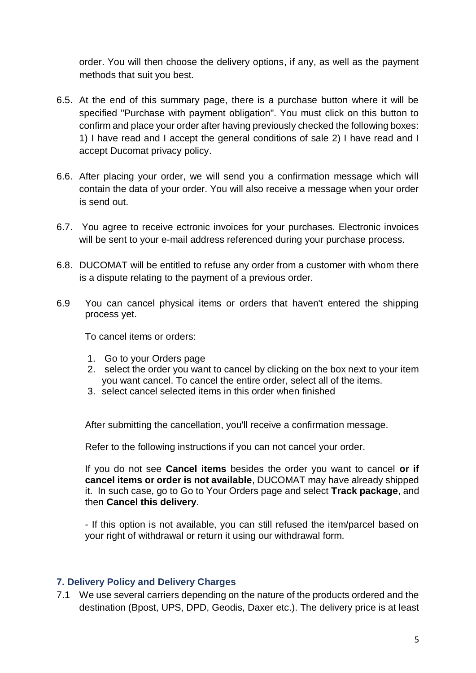order. You will then choose the delivery options, if any, as well as the payment methods that suit you best.

- 6.5. At the end of this summary page, there is a purchase button where it will be specified "Purchase with payment obligation". You must click on this button to confirm and place your order after having previously checked the following boxes: 1) I have read and I accept the general conditions of sale 2) I have read and I accept Ducomat privacy policy.
- 6.6. After placing your order, we will send you a confirmation message which will contain the data of your order. You will also receive a message when your order is send out.
- 6.7. You agree to receive ectronic invoices for your purchases. Electronic invoices will be sent to your e-mail address referenced during your purchase process.
- 6.8. DUCOMAT will be entitled to refuse any order from a customer with whom there is a dispute relating to the payment of a previous order.
- 6.9 You can cancel physical items or orders that haven't entered the shipping process yet.

To cancel items or orders:

- 1. Go to your Orders page
- 2. select the order you want to cancel by clicking on the box next to your item you want cancel. To cancel the entire order, select all of the items.
- 3. select cancel selected items in this order when finished

After submitting the cancellation, you'll receive a confirmation message.

Refer to the following instructions if you can not cancel your order.

If you do not see **Cancel items** besides the order you want to cancel **or if cancel items or order is not available**, DUCOMAT may have already shipped it. In such case, go to Go to Your Orders page and select **Track package**, and then **Cancel this delivery**.

- If this option is not available, you can still refused the item/parcel based on your right of withdrawal or return it using our withdrawal form.

#### **7. Delivery Policy and Delivery Charges**

7.1 We use several carriers depending on the nature of the products ordered and the destination (Bpost, UPS, DPD, Geodis, Daxer etc.). The delivery price is at least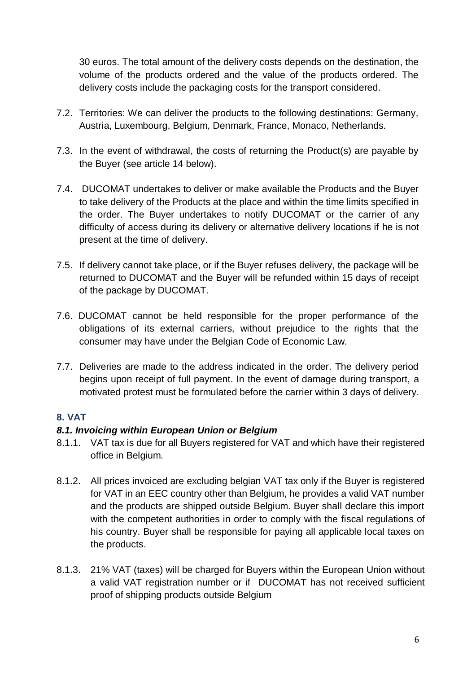30 euros. The total amount of the delivery costs depends on the destination, the volume of the products ordered and the value of the products ordered. The delivery costs include the packaging costs for the transport considered.

- 7.2. Territories: We can deliver the products to the following destinations: Germany, Austria, Luxembourg, Belgium, Denmark, France, Monaco, Netherlands.
- 7.3. In the event of withdrawal, the costs of returning the Product(s) are payable by the Buyer (see article 14 below).
- 7.4. DUCOMAT undertakes to deliver or make available the Products and the Buyer to take delivery of the Products at the place and within the time limits specified in the order. The Buyer undertakes to notify DUCOMAT or the carrier of any difficulty of access during its delivery or alternative delivery locations if he is not present at the time of delivery.
- 7.5. If delivery cannot take place, or if the Buyer refuses delivery, the package will be returned to DUCOMAT and the Buyer will be refunded within 15 days of receipt of the package by DUCOMAT.
- 7.6. DUCOMAT cannot be held responsible for the proper performance of the obligations of its external carriers, without prejudice to the rights that the consumer may have under the Belgian Code of Economic Law.
- 7.7. Deliveries are made to the address indicated in the order. The delivery period begins upon receipt of full payment. In the event of damage during transport, a motivated protest must be formulated before the carrier within 3 days of delivery.

# **8. VAT**

# *8.1. Invoicing within European Union or Belgium*

- 8.1.1. VAT tax is due for all Buyers registered for VAT and which have their registered office in Belgium.
- 8.1.2. All prices invoiced are excluding belgian VAT tax only if the Buyer is registered for VAT in an EEC country other than Belgium, he provides a valid VAT number and the products are shipped outside Belgium. Buyer shall declare this import with the competent authorities in order to comply with the fiscal regulations of his country. Buyer shall be responsible for paying all applicable local taxes on the products.
- 8.1.3. 21% VAT (taxes) will be charged for Buyers within the European Union without a valid VAT registration number or if DUCOMAT has not received sufficient proof of shipping products outside Belgium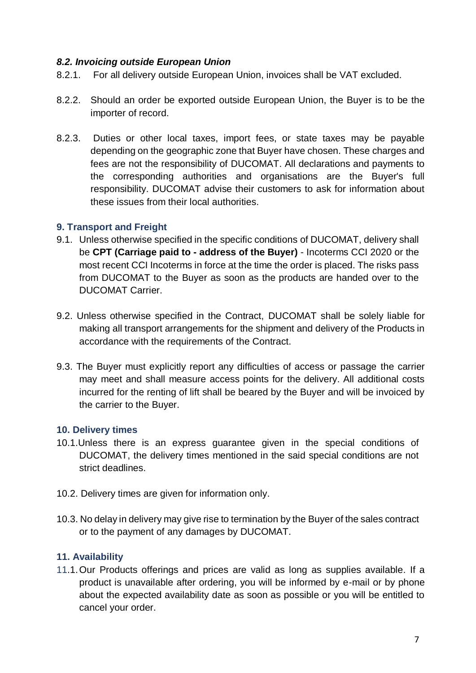# *8.2. Invoicing outside European Union*

- 8.2.1. For all delivery outside European Union, invoices shall be VAT excluded.
- 8.2.2. Should an order be exported outside European Union, the Buyer is to be the importer of record.
- 8.2.3. Duties or other local taxes, import fees, or state taxes may be payable depending on the geographic zone that Buyer have chosen. These charges and fees are not the responsibility of DUCOMAT. All declarations and payments to the corresponding authorities and organisations are the Buyer's full responsibility. DUCOMAT advise their customers to ask for information about these issues from their local authorities.

#### **9. Transport and Freight**

- 9.1. Unless otherwise specified in the specific conditions of DUCOMAT, delivery shall be **CPT (Carriage paid to - address of the Buyer)** - Incoterms CCI 2020 or the most recent CCI Incoterms in force at the time the order is placed. The risks pass from DUCOMAT to the Buyer as soon as the products are handed over to the DUCOMAT Carrier.
- 9.2. Unless otherwise specified in the Contract, DUCOMAT shall be solely liable for making all transport arrangements for the shipment and delivery of the Products in accordance with the requirements of the Contract.
- 9.3. The Buyer must explicitly report any difficulties of access or passage the carrier may meet and shall measure access points for the delivery. All additional costs incurred for the renting of lift shall be beared by the Buyer and will be invoiced by the carrier to the Buyer.

#### **10. Delivery times**

- 10.1.Unless there is an express guarantee given in the special conditions of DUCOMAT, the delivery times mentioned in the said special conditions are not strict deadlines.
- 10.2. Delivery times are given for information only.
- 10.3. No delay in delivery may give rise to termination by the Buyer of the sales contract or to the payment of any damages by DUCOMAT.

# **11. Availability**

11.1.Our Products offerings and prices are valid as long as supplies available. If a product is unavailable after ordering, you will be informed by e-mail or by phone about the expected availability date as soon as possible or you will be entitled to cancel your order.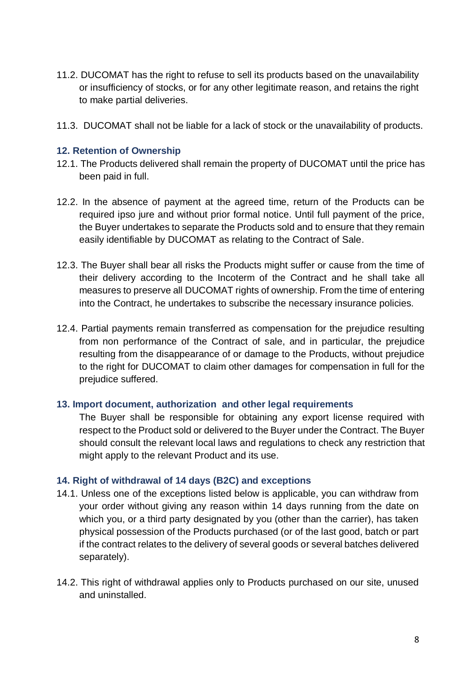- 11.2. DUCOMAT has the right to refuse to sell its products based on the unavailability or insufficiency of stocks, or for any other legitimate reason, and retains the right to make partial deliveries.
- 11.3. DUCOMAT shall not be liable for a lack of stock or the unavailability of products.

#### **12. Retention of Ownership**

- 12.1. The Products delivered shall remain the property of DUCOMAT until the price has been paid in full.
- 12.2. In the absence of payment at the agreed time, return of the Products can be required ipso jure and without prior formal notice. Until full payment of the price, the Buyer undertakes to separate the Products sold and to ensure that they remain easily identifiable by DUCOMAT as relating to the Contract of Sale.
- 12.3. The Buyer shall bear all risks the Products might suffer or cause from the time of their delivery according to the Incoterm of the Contract and he shall take all measures to preserve all DUCOMAT rights of ownership. From the time of entering into the Contract, he undertakes to subscribe the necessary insurance policies.
- 12.4. Partial payments remain transferred as compensation for the prejudice resulting from non performance of the Contract of sale, and in particular, the prejudice resulting from the disappearance of or damage to the Products, without prejudice to the right for DUCOMAT to claim other damages for compensation in full for the prejudice suffered.

#### **13. Import document, authorization and other legal requirements**

The Buyer shall be responsible for obtaining any export license required with respect to the Product sold or delivered to the Buyer under the Contract. The Buyer should consult the relevant local laws and regulations to check any restriction that might apply to the relevant Product and its use.

#### **14. Right of withdrawal of 14 days (B2C) and exceptions**

- 14.1. Unless one of the exceptions listed below is applicable, you can withdraw from your order without giving any reason within 14 days running from the date on which you, or a third party designated by you (other than the carrier), has taken physical possession of the Products purchased (or of the last good, batch or part if the contract relates to the delivery of several goods or several batches delivered separately).
- 14.2. This right of withdrawal applies only to Products purchased on our site, unused and uninstalled.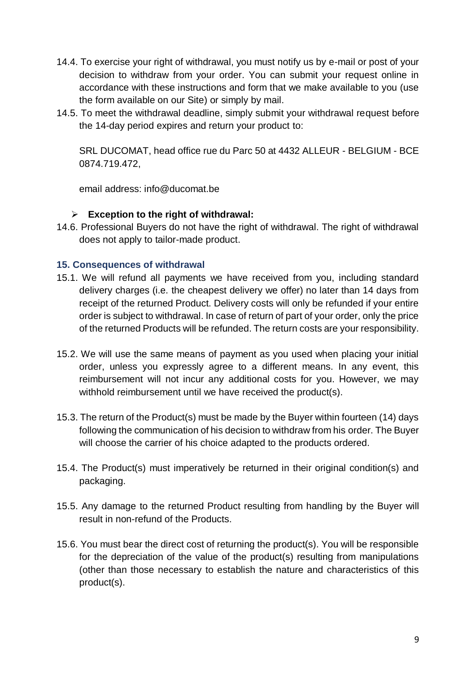- 14.4. To exercise your right of withdrawal, you must notify us by e-mail or post of your decision to withdraw from your order. You can submit your request online in accordance with these instructions and form that we make available to you (use the form available on our Site) or simply by mail.
- 14.5. To meet the withdrawal deadline, simply submit your withdrawal request before the 14-day period expires and return your product to:

SRL DUCOMAT, head office rue du Parc 50 at 4432 ALLEUR - BELGIUM - BCE 0874.719.472,

email address: info@ducomat.be

# **Exception to the right of withdrawal:**

14.6. Professional Buyers do not have the right of withdrawal. The right of withdrawal does not apply to tailor-made product.

#### **15. Consequences of withdrawal**

- 15.1. We will refund all payments we have received from you, including standard delivery charges (i.e. the cheapest delivery we offer) no later than 14 days from receipt of the returned Product. Delivery costs will only be refunded if your entire order is subject to withdrawal. In case of return of part of your order, only the price of the returned Products will be refunded. The return costs are your responsibility.
- 15.2. We will use the same means of payment as you used when placing your initial order, unless you expressly agree to a different means. In any event, this reimbursement will not incur any additional costs for you. However, we may withhold reimbursement until we have received the product(s).
- 15.3. The return of the Product(s) must be made by the Buyer within fourteen (14) days following the communication of his decision to withdraw from his order. The Buyer will choose the carrier of his choice adapted to the products ordered.
- 15.4. The Product(s) must imperatively be returned in their original condition(s) and packaging.
- 15.5. Any damage to the returned Product resulting from handling by the Buyer will result in non-refund of the Products.
- 15.6. You must bear the direct cost of returning the product(s). You will be responsible for the depreciation of the value of the product(s) resulting from manipulations (other than those necessary to establish the nature and characteristics of this product(s).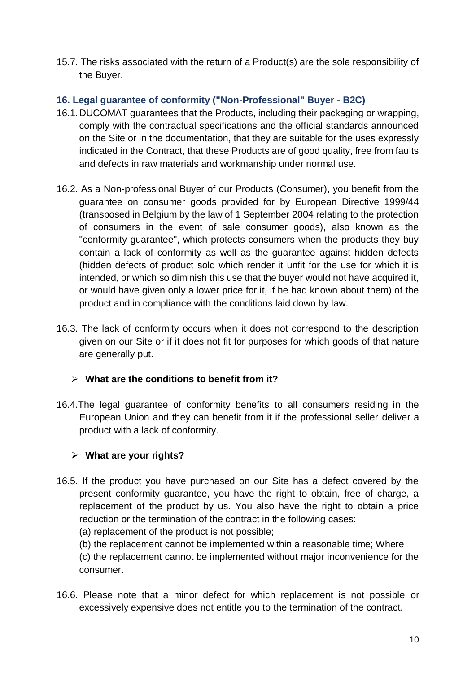15.7. The risks associated with the return of a Product(s) are the sole responsibility of the Buyer.

# **16. Legal guarantee of conformity ("Non-Professional" Buyer - B2C)**

- 16.1.DUCOMAT guarantees that the Products, including their packaging or wrapping, comply with the contractual specifications and the official standards announced on the Site or in the documentation, that they are suitable for the uses expressly indicated in the Contract, that these Products are of good quality, free from faults and defects in raw materials and workmanship under normal use.
- 16.2. As a Non-professional Buyer of our Products (Consumer), you benefit from the guarantee on consumer goods provided for by European Directive 1999/44 (transposed in Belgium by the law of 1 September 2004 relating to the protection of consumers in the event of sale consumer goods), also known as the "conformity guarantee", which protects consumers when the products they buy contain a lack of conformity as well as the guarantee against hidden defects (hidden defects of product sold which render it unfit for the use for which it is intended, or which so diminish this use that the buyer would not have acquired it, or would have given only a lower price for it, if he had known about them) of the product and in compliance with the conditions laid down by law.
- 16.3. The lack of conformity occurs when it does not correspond to the description given on our Site or if it does not fit for purposes for which goods of that nature are generally put.

# **What are the conditions to benefit from it?**

16.4.The legal guarantee of conformity benefits to all consumers residing in the European Union and they can benefit from it if the professional seller deliver a product with a lack of conformity.

# **What are your rights?**

- 16.5. If the product you have purchased on our Site has a defect covered by the present conformity guarantee, you have the right to obtain, free of charge, a replacement of the product by us. You also have the right to obtain a price reduction or the termination of the contract in the following cases:
	- (a) replacement of the product is not possible;
	- (b) the replacement cannot be implemented within a reasonable time; Where

(c) the replacement cannot be implemented without major inconvenience for the consumer.

16.6. Please note that a minor defect for which replacement is not possible or excessively expensive does not entitle you to the termination of the contract.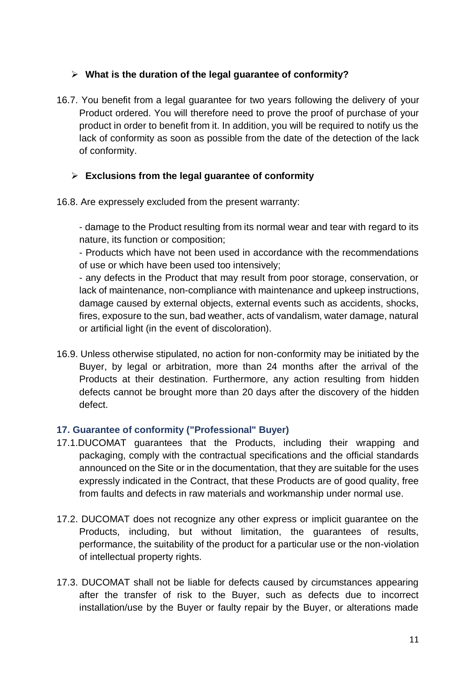# **What is the duration of the legal guarantee of conformity?**

16.7. You benefit from a legal guarantee for two years following the delivery of your Product ordered. You will therefore need to prove the proof of purchase of your product in order to benefit from it. In addition, you will be required to notify us the lack of conformity as soon as possible from the date of the detection of the lack of conformity.

# **Exclusions from the legal guarantee of conformity**

16.8. Are expressely excluded from the present warranty:

- damage to the Product resulting from its normal wear and tear with regard to its nature, its function or composition;

- Products which have not been used in accordance with the recommendations of use or which have been used too intensively;

- any defects in the Product that may result from poor storage, conservation, or lack of maintenance, non-compliance with maintenance and upkeep instructions, damage caused by external objects, external events such as accidents, shocks, fires, exposure to the sun, bad weather, acts of vandalism, water damage, natural or artificial light (in the event of discoloration).

16.9. Unless otherwise stipulated, no action for non-conformity may be initiated by the Buyer, by legal or arbitration, more than 24 months after the arrival of the Products at their destination. Furthermore, any action resulting from hidden defects cannot be brought more than 20 days after the discovery of the hidden defect.

# **17. Guarantee of conformity ("Professional" Buyer)**

- 17.1.DUCOMAT guarantees that the Products, including their wrapping and packaging, comply with the contractual specifications and the official standards announced on the Site or in the documentation, that they are suitable for the uses expressly indicated in the Contract, that these Products are of good quality, free from faults and defects in raw materials and workmanship under normal use.
- 17.2. DUCOMAT does not recognize any other express or implicit guarantee on the Products, including, but without limitation, the guarantees of results, performance, the suitability of the product for a particular use or the non-violation of intellectual property rights.
- 17.3. DUCOMAT shall not be liable for defects caused by circumstances appearing after the transfer of risk to the Buyer, such as defects due to incorrect installation/use by the Buyer or faulty repair by the Buyer, or alterations made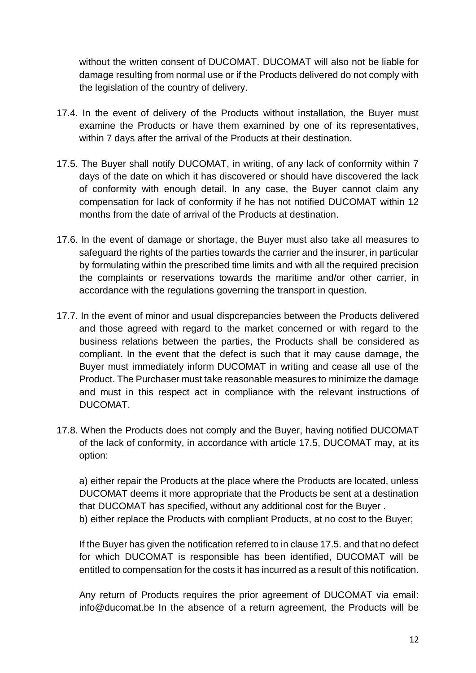without the written consent of DUCOMAT. DUCOMAT will also not be liable for damage resulting from normal use or if the Products delivered do not comply with the legislation of the country of delivery.

- 17.4. In the event of delivery of the Products without installation, the Buyer must examine the Products or have them examined by one of its representatives, within 7 days after the arrival of the Products at their destination.
- 17.5. The Buyer shall notify DUCOMAT, in writing, of any lack of conformity within 7 days of the date on which it has discovered or should have discovered the lack of conformity with enough detail. In any case, the Buyer cannot claim any compensation for lack of conformity if he has not notified DUCOMAT within 12 months from the date of arrival of the Products at destination.
- 17.6. In the event of damage or shortage, the Buyer must also take all measures to safeguard the rights of the parties towards the carrier and the insurer, in particular by formulating within the prescribed time limits and with all the required precision the complaints or reservations towards the maritime and/or other carrier, in accordance with the regulations governing the transport in question.
- 17.7. In the event of minor and usual dispcrepancies between the Products delivered and those agreed with regard to the market concerned or with regard to the business relations between the parties, the Products shall be considered as compliant. In the event that the defect is such that it may cause damage, the Buyer must immediately inform DUCOMAT in writing and cease all use of the Product. The Purchaser must take reasonable measures to minimize the damage and must in this respect act in compliance with the relevant instructions of DUCOMAT.
- 17.8. When the Products does not comply and the Buyer, having notified DUCOMAT of the lack of conformity, in accordance with article 17.5, DUCOMAT may, at its option:

a) either repair the Products at the place where the Products are located, unless DUCOMAT deems it more appropriate that the Products be sent at a destination that DUCOMAT has specified, without any additional cost for the Buyer . b) either replace the Products with compliant Products, at no cost to the Buyer;

If the Buyer has given the notification referred to in clause 17.5. and that no defect for which DUCOMAT is responsible has been identified, DUCOMAT will be entitled to compensation for the costs it has incurred as a result of this notification.

Any return of Products requires the prior agreement of DUCOMAT via email: info@ducomat.be In the absence of a return agreement, the Products will be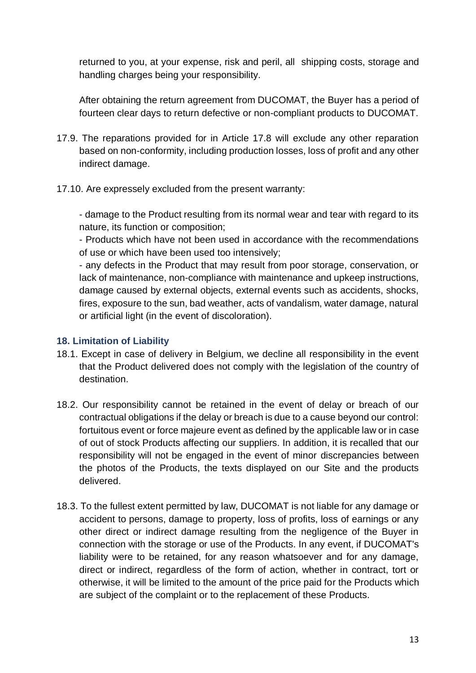returned to you, at your expense, risk and peril, all shipping costs, storage and handling charges being your responsibility.

After obtaining the return agreement from DUCOMAT, the Buyer has a period of fourteen clear days to return defective or non-compliant products to DUCOMAT.

- 17.9. The reparations provided for in Article 17.8 will exclude any other reparation based on non-conformity, including production losses, loss of profit and any other indirect damage.
- 17.10. Are expressely excluded from the present warranty:

- damage to the Product resulting from its normal wear and tear with regard to its nature, its function or composition;

- Products which have not been used in accordance with the recommendations of use or which have been used too intensively;

- any defects in the Product that may result from poor storage, conservation, or lack of maintenance, non-compliance with maintenance and upkeep instructions, damage caused by external objects, external events such as accidents, shocks, fires, exposure to the sun, bad weather, acts of vandalism, water damage, natural or artificial light (in the event of discoloration).

# **18. Limitation of Liability**

- 18.1. Except in case of delivery in Belgium, we decline all responsibility in the event that the Product delivered does not comply with the legislation of the country of destination.
- 18.2. Our responsibility cannot be retained in the event of delay or breach of our contractual obligations if the delay or breach is due to a cause beyond our control: fortuitous event or force majeure event as defined by the applicable law or in case of out of stock Products affecting our suppliers. In addition, it is recalled that our responsibility will not be engaged in the event of minor discrepancies between the photos of the Products, the texts displayed on our Site and the products delivered.
- 18.3. To the fullest extent permitted by law, DUCOMAT is not liable for any damage or accident to persons, damage to property, loss of profits, loss of earnings or any other direct or indirect damage resulting from the negligence of the Buyer in connection with the storage or use of the Products. In any event, if DUCOMAT's liability were to be retained, for any reason whatsoever and for any damage, direct or indirect, regardless of the form of action, whether in contract, tort or otherwise, it will be limited to the amount of the price paid for the Products which are subject of the complaint or to the replacement of these Products.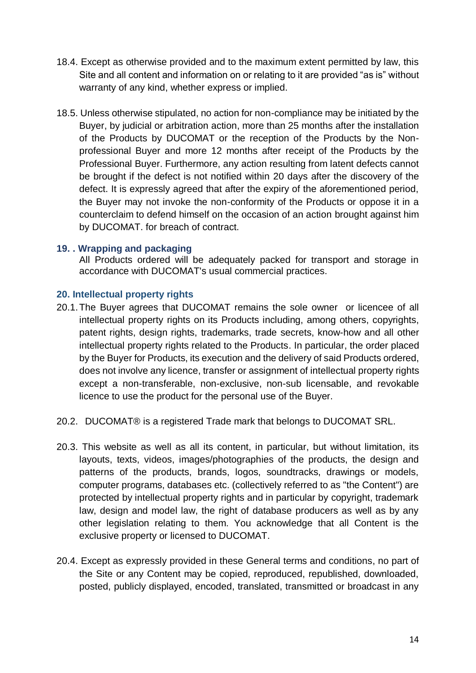- 18.4. Except as otherwise provided and to the maximum extent permitted by law, this Site and all content and information on or relating to it are provided "as is" without warranty of any kind, whether express or implied.
- 18.5. Unless otherwise stipulated, no action for non-compliance may be initiated by the Buyer, by judicial or arbitration action, more than 25 months after the installation of the Products by DUCOMAT or the reception of the Products by the Nonprofessional Buyer and more 12 months after receipt of the Products by the Professional Buyer. Furthermore, any action resulting from latent defects cannot be brought if the defect is not notified within 20 days after the discovery of the defect. It is expressly agreed that after the expiry of the aforementioned period, the Buyer may not invoke the non-conformity of the Products or oppose it in a counterclaim to defend himself on the occasion of an action brought against him by DUCOMAT. for breach of contract.

#### **19. . Wrapping and packaging**

All Products ordered will be adequately packed for transport and storage in accordance with DUCOMAT's usual commercial practices.

#### **20. Intellectual property rights**

- 20.1.The Buyer agrees that DUCOMAT remains the sole owner or licencee of all intellectual property rights on its Products including, among others, copyrights, patent rights, design rights, trademarks, trade secrets, know-how and all other intellectual property rights related to the Products. In particular, the order placed by the Buyer for Products, its execution and the delivery of said Products ordered, does not involve any licence, transfer or assignment of intellectual property rights except a non-transferable, non-exclusive, non-sub licensable, and revokable licence to use the product for the personal use of the Buyer.
- 20.2. DUCOMAT® is a registered Trade mark that belongs to DUCOMAT SRL.
- 20.3. This website as well as all its content, in particular, but without limitation, its layouts, texts, videos, images/photographies of the products, the design and patterns of the products, brands, logos, soundtracks, drawings or models, computer programs, databases etc. (collectively referred to as "the Content") are protected by intellectual property rights and in particular by copyright, trademark law, design and model law, the right of database producers as well as by any other legislation relating to them. You acknowledge that all Content is the exclusive property or licensed to DUCOMAT.
- 20.4. Except as expressly provided in these General terms and conditions, no part of the Site or any Content may be copied, reproduced, republished, downloaded, posted, publicly displayed, encoded, translated, transmitted or broadcast in any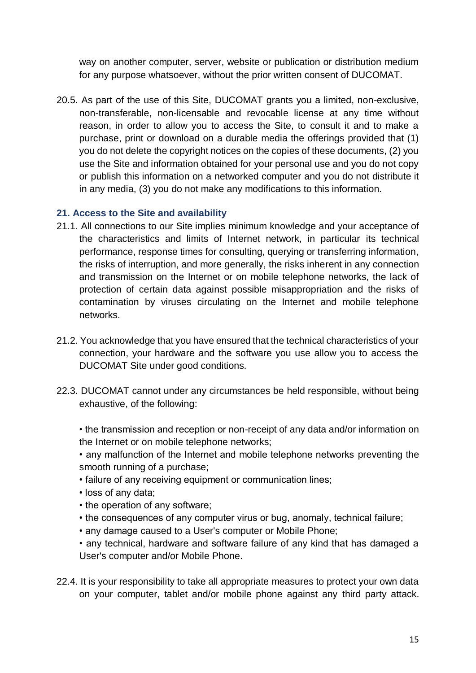way on another computer, server, website or publication or distribution medium for any purpose whatsoever, without the prior written consent of DUCOMAT.

20.5. As part of the use of this Site, DUCOMAT grants you a limited, non-exclusive, non-transferable, non-licensable and revocable license at any time without reason, in order to allow you to access the Site, to consult it and to make a purchase, print or download on a durable media the offerings provided that (1) you do not delete the copyright notices on the copies of these documents, (2) you use the Site and information obtained for your personal use and you do not copy or publish this information on a networked computer and you do not distribute it in any media, (3) you do not make any modifications to this information.

# **21. Access to the Site and availability**

- 21.1. All connections to our Site implies minimum knowledge and your acceptance of the characteristics and limits of Internet network, in particular its technical performance, response times for consulting, querying or transferring information, the risks of interruption, and more generally, the risks inherent in any connection and transmission on the Internet or on mobile telephone networks, the lack of protection of certain data against possible misappropriation and the risks of contamination by viruses circulating on the Internet and mobile telephone networks.
- 21.2. You acknowledge that you have ensured that the technical characteristics of your connection, your hardware and the software you use allow you to access the DUCOMAT Site under good conditions.
- 22.3. DUCOMAT cannot under any circumstances be held responsible, without being exhaustive, of the following:

• the transmission and reception or non-receipt of any data and/or information on the Internet or on mobile telephone networks;

• any malfunction of the Internet and mobile telephone networks preventing the smooth running of a purchase;

- failure of any receiving equipment or communication lines;
- loss of any data;
- the operation of any software;
- the consequences of any computer virus or bug, anomaly, technical failure;
- any damage caused to a User's computer or Mobile Phone;
- any technical, hardware and software failure of any kind that has damaged a User's computer and/or Mobile Phone.
- 22.4. It is your responsibility to take all appropriate measures to protect your own data on your computer, tablet and/or mobile phone against any third party attack.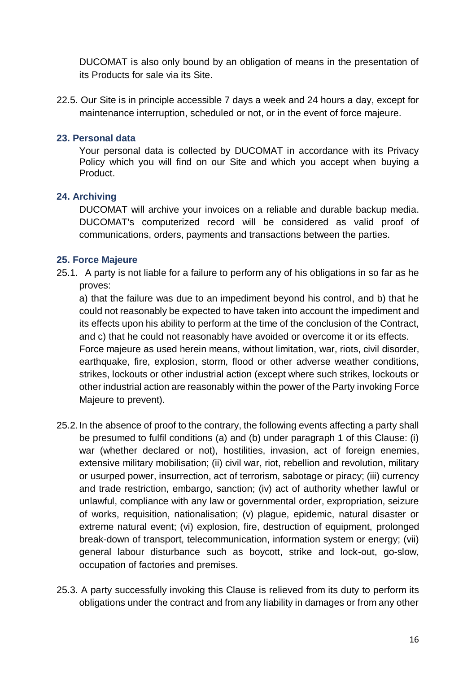DUCOMAT is also only bound by an obligation of means in the presentation of its Products for sale via its Site.

22.5. Our Site is in principle accessible 7 days a week and 24 hours a day, except for maintenance interruption, scheduled or not, or in the event of force majeure.

### **23. Personal data**

Your personal data is collected by DUCOMAT in accordance with its Privacy Policy which you will find on our Site and which you accept when buying a **Product** 

#### **24. Archiving**

DUCOMAT will archive your invoices on a reliable and durable backup media. DUCOMAT's computerized record will be considered as valid proof of communications, orders, payments and transactions between the parties.

#### **25. Force Majeure**

25.1. A party is not liable for a failure to perform any of his obligations in so far as he proves:

a) that the failure was due to an impediment beyond his control, and b) that he could not reasonably be expected to have taken into account the impediment and its effects upon his ability to perform at the time of the conclusion of the Contract, and c) that he could not reasonably have avoided or overcome it or its effects. Force majeure as used herein means, without limitation, war, riots, civil disorder, earthquake, fire, explosion, storm, flood or other adverse weather conditions, strikes, lockouts or other industrial action (except where such strikes, lockouts or other industrial action are reasonably within the power of the Party invoking Force Majeure to prevent).

- 25.2.In the absence of proof to the contrary, the following events affecting a party shall be presumed to fulfil conditions (a) and (b) under paragraph 1 of this Clause: (i) war (whether declared or not), hostilities, invasion, act of foreign enemies, extensive military mobilisation; (ii) civil war, riot, rebellion and revolution, military or usurped power, insurrection, act of terrorism, sabotage or piracy; (iii) currency and trade restriction, embargo, sanction; (iv) act of authority whether lawful or unlawful, compliance with any law or governmental order, expropriation, seizure of works, requisition, nationalisation; (v) plague, epidemic, natural disaster or extreme natural event; (vi) explosion, fire, destruction of equipment, prolonged break-down of transport, telecommunication, information system or energy; (vii) general labour disturbance such as boycott, strike and lock-out, go-slow, occupation of factories and premises.
- 25.3. A party successfully invoking this Clause is relieved from its duty to perform its obligations under the contract and from any liability in damages or from any other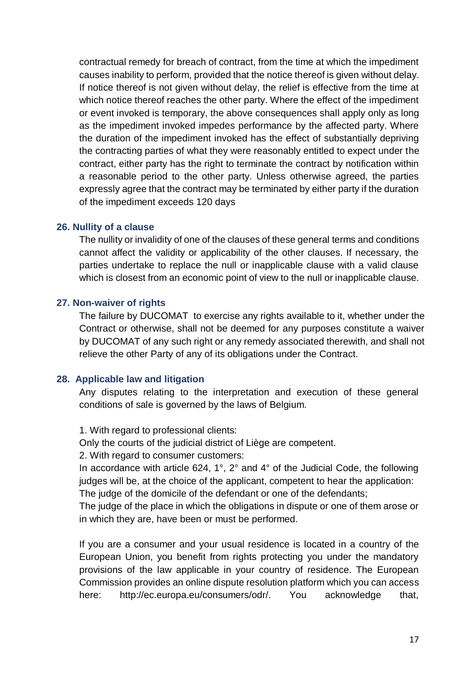contractual remedy for breach of contract, from the time at which the impediment causes inability to perform, provided that the notice thereof is given without delay. If notice thereof is not given without delay, the relief is effective from the time at which notice thereof reaches the other party. Where the effect of the impediment or event invoked is temporary, the above consequences shall apply only as long as the impediment invoked impedes performance by the affected party. Where the duration of the impediment invoked has the effect of substantially depriving the contracting parties of what they were reasonably entitled to expect under the contract, either party has the right to terminate the contract by notification within a reasonable period to the other party. Unless otherwise agreed, the parties expressly agree that the contract may be terminated by either party if the duration of the impediment exceeds 120 days

#### **26. Nullity of a clause**

The nullity or invalidity of one of the clauses of these general terms and conditions cannot affect the validity or applicability of the other clauses. If necessary, the parties undertake to replace the null or inapplicable clause with a valid clause which is closest from an economic point of view to the null or inapplicable clause.

#### **27. Non-waiver of rights**

The failure by DUCOMAT to exercise any rights available to it, whether under the Contract or otherwise, shall not be deemed for any purposes constitute a waiver by DUCOMAT of any such right or any remedy associated therewith, and shall not relieve the other Party of any of its obligations under the Contract.

# **28. Applicable law and litigation**

Any disputes relating to the interpretation and execution of these general conditions of sale is governed by the laws of Belgium.

1. With regard to professional clients:

Only the courts of the judicial district of Liège are competent.

2. With regard to consumer customers:

In accordance with article 624, 1°, 2° and 4° of the Judicial Code, the following judges will be, at the choice of the applicant, competent to hear the application:

The judge of the domicile of the defendant or one of the defendants;

The judge of the place in which the obligations in dispute or one of them arose or in which they are, have been or must be performed.

If you are a consumer and your usual residence is located in a country of the European Union, you benefit from rights protecting you under the mandatory provisions of the law applicable in your country of residence. The European Commission provides an online dispute resolution platform which you can access here: http://ec.europa.eu/consumers/odr/. You acknowledge that,